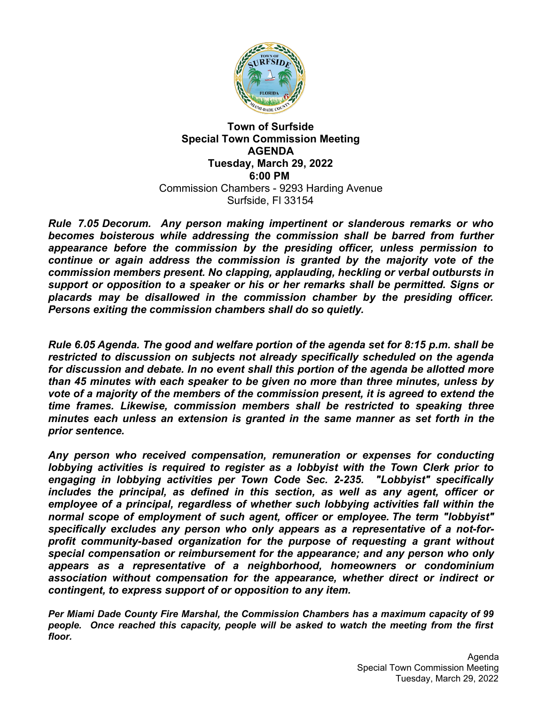

#### **Town of Surfside Special Town Commission Meeting AGENDA Tuesday, March 29, 2022 6:00 PM** Commission Chambers - 9293 Harding Avenue Surfside, Fl 33154

*Rule 7.05 Decorum. Any person making impertinent or slanderous remarks or who becomes boisterous while addressing the commission shall be barred from further appearance before the commission by the presiding officer, unless permission to continue or again address the commission is granted by the majority vote of the commission members present. No clapping, applauding, heckling or verbal outbursts in support or opposition to a speaker or his or her remarks shall be permitted. Signs or placards may be disallowed in the commission chamber by the presiding officer. Persons exiting the commission chambers shall do so quietly.*

*Rule 6.05 Agenda. The good and welfare portion of the agenda set for 8:15 p.m. shall be restricted to discussion on subjects not already specifically scheduled on the agenda for discussion and debate. In no event shall this portion of the agenda be allotted more than 45 minutes with each speaker to be given no more than three minutes, unless by vote of a majority of the members of the commission present, it is agreed to extend the time frames. Likewise, commission members shall be restricted to speaking three minutes each unless an extension is granted in the same manner as set forth in the prior sentence.*

*Any person who received compensation, remuneration or expenses for conducting lobbying activities is required to register as a lobbyist with the Town Clerk prior to engaging in lobbying activities per Town Code Sec. 2-235. "Lobbyist" specifically includes the principal, as defined in this section, as well as any agent, officer or employee of a principal, regardless of whether such lobbying activities fall within the normal scope of employment of such agent, officer or employee. The term "lobbyist" specifically excludes any person who only appears as a representative of a not-forprofit community-based organization for the purpose of requesting a grant without special compensation or reimbursement for the appearance; and any person who only appears as a representative of a neighborhood, homeowners or condominium association without compensation for the appearance, whether direct or indirect or contingent, to express support of or opposition to any item.*

*Per Miami Dade County Fire Marshal, the Commission Chambers has a maximum capacity of 99 people. Once reached this capacity, people will be asked to watch the meeting from the first floor.*

> Agenda Special Town Commission Meeting Tuesday, March 29, 2022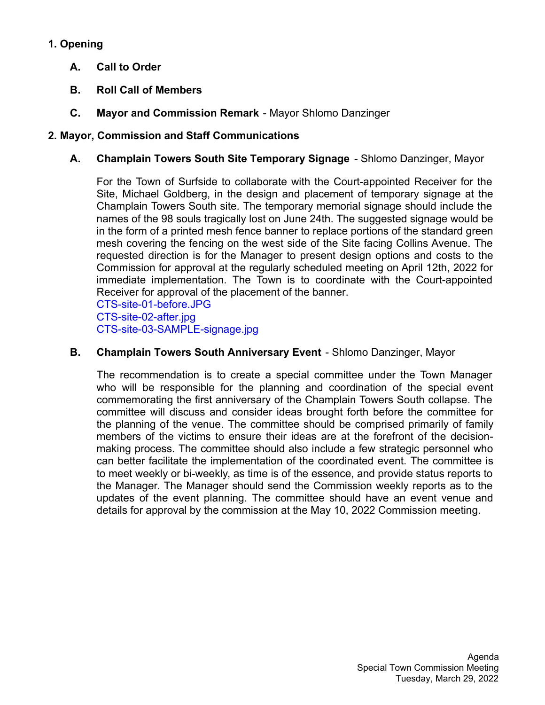# **1. Opening**

- **A. Call to Order**
- **B. Roll Call of Members**
- **C. Mayor and Commission Remark** Mayor Shlomo Danzinger

# **2. Mayor, Commission and Staff Communications**

**A. Champlain Towers South Site Temporary Signage** - Shlomo Danzinger, Mayor

For the Town of Surfside to collaborate with the Court-appointed Receiver for the Site, Michael Goldberg, in the design and placement of temporary signage at the Champlain Towers South site. The temporary memorial signage should include the names of the 98 souls tragically lost on June 24th. The suggested signage would be in the form of a printed mesh fence banner to replace portions of the standard green mesh covering the fencing on the west side of the Site facing Collins Avenue. The requested direction is for the Manager to present design options and costs to the Commission for approval at the regularly scheduled meeting on April 12th, 2022 for immediate implementation. The Town is to coordinate with the Court-appointed Receiver for approval of the placement of the banner.

[CTS-site-01-before.JPG](https://legistarweb-production.s3.amazonaws.com/uploads/attachment/pdf/1299897/CTS-site-01-before.pdf) [CTS-site-02-after.jpg](https://legistarweb-production.s3.amazonaws.com/uploads/attachment/pdf/1299898/CTS-site-02-after.pdf) [CTS-site-03-SAMPLE-signage.jpg](https://legistarweb-production.s3.amazonaws.com/uploads/attachment/pdf/1299899/CTS-site-03-SAMPLE-signage.pdf)

### **B. Champlain Towers South Anniversary Event** - Shlomo Danzinger, Mayor

The recommendation is to create a special committee under the Town Manager who will be responsible for the planning and coordination of the special event commemorating the first anniversary of the Champlain Towers South collapse. The committee will discuss and consider ideas brought forth before the committee for the planning of the venue. The committee should be comprised primarily of family members of the victims to ensure their ideas are at the forefront of the decisionmaking process. The committee should also include a few strategic personnel who can better facilitate the implementation of the coordinated event. The committee is to meet weekly or bi-weekly, as time is of the essence, and provide status reports to the Manager. The Manager should send the Commission weekly reports as to the updates of the event planning. The committee should have an event venue and details for approval by the commission at the May 10, 2022 Commission meeting.